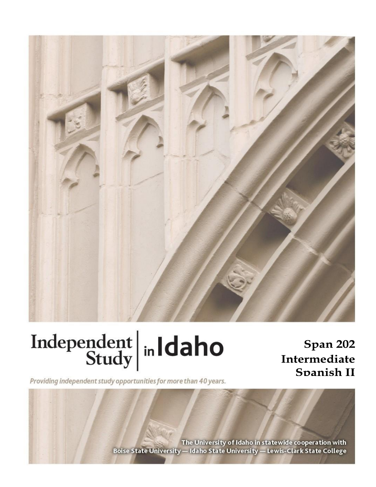

# Independent  $\left|\frac{\text{ind}}{\text{Study}}\right|$  in Idaho

Span 202 Intermediate Spanish II

Providing independent study opportunities for more than 40 years.

The University of Idaho in statewide cooperation with Boise State University - Idaho State University - Lewis-Clark State College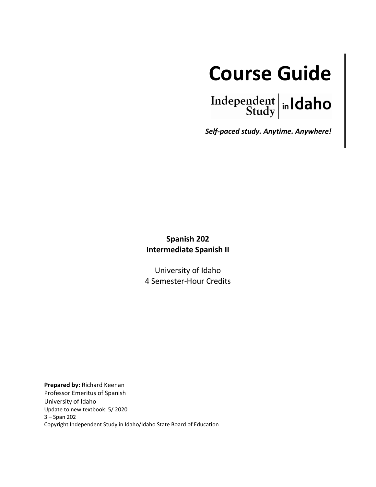

Independent  $\left| \text{in} \right|$   $\left| \text{d} \text{aho} \right|$ 

*Self-paced study. Anytime. Anywhere!*

# **Spanish 202 Intermediate Spanish II**

University of Idaho 4 Semester-Hour Credits

**Prepared by:** Richard Keenan Professor Emeritus of Spanish University of Idaho Update to new textbook: 5/ 2020 3 – Span 202 Copyright Independent Study in Idaho/Idaho State Board of Education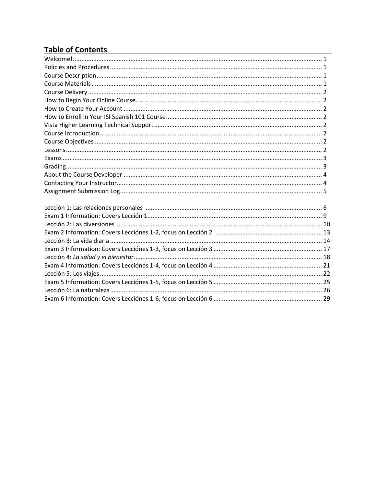# **Table of Contents**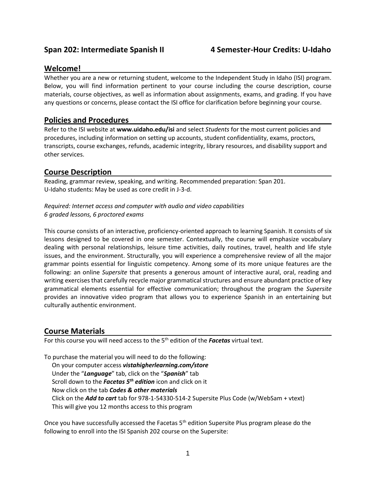# **Welcome!**

Whether you are a new or returning student, welcome to the Independent Study in Idaho (ISI) program. Below, you will find information pertinent to your course including the course description, course materials, course objectives, as well as information about assignments, exams, and grading. If you have any questions or concerns, please contact the ISI office for clarification before beginning your course.

# **Policies and Procedures \_\_\_\_\_\_\_\_\_\_\_\_\_\_\_\_\_\_\_\_\_\_\_\_\_\_\_\_\_\_\_\_\_\_\_\_\_\_\_\_\_\_\_\_\_\_**

Refer to the ISI website at **www.uidaho.edu/isi** and select *Students* for the most current policies and procedures, including information on setting up accounts, student confidentiality, exams, proctors, transcripts, course exchanges, refunds, academic integrity, library resources, and disability support and other services.

# **Course Description**

Reading, grammar review, speaking, and writing. Recommended preparation: Span 201. U-Idaho students: May be used as core credit in J-3-d.

## *Required: Internet access and computer with audio and video capabilities 6 graded lessons, 6 proctored exams*

This course consists of an interactive, proficiency-oriented approach to learning Spanish. It consists of six lessons designed to be covered in one semester. Contextually, the course will emphasize vocabulary dealing with personal relationships, leisure time activities, daily routines, travel, health and life style issues, and the environment. Structurally, you will experience a comprehensive review of all the major grammar points essential for linguistic competency. Among some of its more unique features are the following: an online *Supersite* that presents a generous amount of interactive aural, oral, reading and writing exercises that carefully recycle major grammatical structures and ensure abundant practice of key grammatical elements essential for effective communication; throughout the program the *Supersite*  provides an innovative video program that allows you to experience Spanish in an entertaining but culturally authentic environment.

# **Course Materials**

For this course you will need access to the 5th edition of the *Facetas* virtual text.

To purchase the material you will need to do the following:

 On your computer access *vistahigherlearning.com/store* Under the "*Language*" tab, click on the "*Spanish*" tab Scroll down to the *Facetas 5 th edition* icon and click on it Now click on the tab *Codes & other materials* Click on the *Add to cart* tab for 978-1-54330-514-2 Supersite Plus Code (w/WebSam + vtext) This will give you 12 months access to this program

Once you have successfully accessed the Facetas 5<sup>th</sup> edition Supersite Plus program please do the following to enroll into the ISI Spanish 202 course on the Supersite: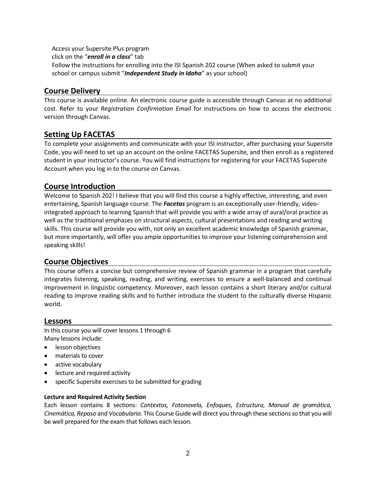Access your Supersite Plus program click on the "*enroll in a class*" tab Follow the instructions for enrolling into the ISI Spanish 202 course (When asked to submit your school or campus submit "*Independent Study in Idaho*" as your school)

# **Course Delivery**

This course is available online. An electronic course guide is accessible through Canvas at no additional cost. Refer to your *Registration Confirmation Email* for instructions on how to access the electronic version through Canvas.

# **Setting Up FACETAS**

To complete your assignments and communicate with your ISI instructor, after purchasing your Supersite Code, you will need to set up an account on the online FACETAS Supersite, and then enroll as a registered student in your instructor's course. You will find instructions for registering for your FACETAS Supersite Account when you log in to the course on Canvas.

# **Course Introduction**

Welcome to Spanish 202! I believe that you will find this course a highly effective, interesting, and even entertaining, Spanish language course. The *Facetas* program is an exceptionally user-friendly, videointegrated approach to learning Spanish that will provide you with a wide array of aural/oral practice as well as the traditional emphases on structural aspects, cultural presentations and reading and writing skills. This course will provide you with, not only an excellent academic knowledge of Spanish grammar, but more importantly, will offer you ample opportunities to improve your listening comprehension and speaking skills!

# **Course Objectives**

This course offers a concise but comprehensive review of Spanish grammar in a program that carefully integrates listening, speaking, reading, and writing, exercises to ensure a well-balanced and continual improvement in linguistic competency. Moreover, each lesson contains a short literary and/or cultural reading to improve reading skills and to further introduce the student to the culturally diverse Hispanic world.

## **Lessons**

In this course you will cover lessons 1 through 6 Many lessons include:

- lesson objectives
- materials to cover
- active vocabulary
- lecture and required activity
- specific Supersite exercises to be submitted for grading

#### **Lecture and Required Activity Section**

Each lesson contains 8 sections: *Contextos, Fotonovela, Enfoques, Estructura, Manual de gramática, Cinemática, Repaso* and *Vocabulario.* This Course Guide will direct you through these sections so that you will be well prepared for the exam that follows each lesson.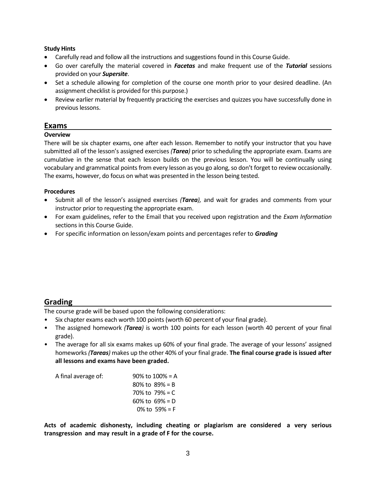#### **Study Hints**

- Carefully read and follow all the instructions and suggestions found in this Course Guide.
- Go over carefully the material covered in *Facetas* and make frequent use of the *Tutorial* sessions provided on your *Supersite*.
- Set a schedule allowing for completion of the course one month prior to your desired deadline. (An assignment checklist is provided for this purpose.)
- Review earlier material by frequently practicing the exercises and quizzes you have successfully done in previous lessons.

## **Exams**

#### **Overview**

There will be six chapter exams, one after each lesson. Remember to notify your instructor that you have submitted all of the lesson's assigned exercises *(Tarea)* prior to scheduling the appropriate exam. Exams are cumulative in the sense that each lesson builds on the previous lesson. You will be continually using vocabulary and grammatical points from every lesson as you go along, so don't forget to review occasionally. The exams, however, do focus on what was presented in the lesson being tested.

#### **Procedures**

- Submit all of the lesson's assigned exercises *(Tarea),* and wait for grades and comments from your instructor prior to requesting the appropriate exam.
- For exam guidelines, refer to the Email that you received upon registration and the *Exam Information* sections in this Course Guide.
- For specific information on lesson/exam points and percentages refer to *Grading*

# **Grading**

The course grade will be based upon the following considerations:

- Six chapter exams each worth 100 points (worth 60 percent of your final grade).
- The assigned homework *(Tarea)* is worth 100 points for each lesson (worth 40 percent of your final grade).
- The average for all six exams makes up 60% of your final grade. The average of your lessons' assigned homeworks *(Tareas)* makes up the other 40% of your final grade. **The final course grade is issued after all lessons and exams have been graded.**

| A final average of: | $90\%$ to $100\%$ = A |
|---------------------|-----------------------|
|                     | 80% to $89% = B$      |
|                     | 70% to $79% = C$      |
|                     | 60% to $69% = D$      |
|                     | $0\%$ to 59% = F      |

**Acts of academic dishonesty, including cheating or plagiarism are considered a very serious transgression and may result in a grade of F for the course.**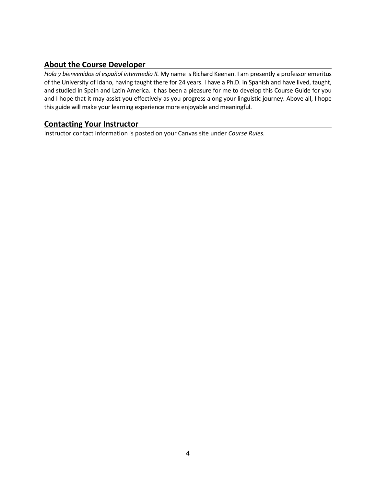# **About the Course Developer**

*Hola y bienvenidos al español intermedio II.* My name is Richard Keenan. I am presently a professor emeritus of the University of Idaho, having taught there for 24 years. I have a Ph.D. in Spanish and have lived, taught, and studied in Spain and Latin America. It has been a pleasure for me to develop this Course Guide for you and I hope that it may assist you effectively as you progress along your linguistic journey. Above all, I hope this guide will make your learning experience more enjoyable and meaningful.

# **Contacting Your Instructor**

Instructor contact information is posted on your Canvas site under *Course Rules.*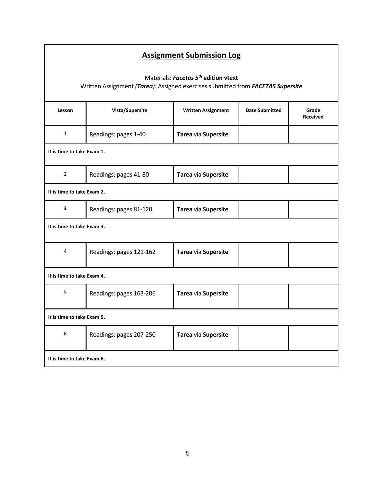| <b>Assignment Submission Log</b>                                                                                                    |                         |                           |                       |                          |  |  |
|-------------------------------------------------------------------------------------------------------------------------------------|-------------------------|---------------------------|-----------------------|--------------------------|--|--|
| Materials: Facetas 5 <sup>th</sup> edition vtext<br>Written Assignment (Tarea): Assigned exercises submitted from FACETAS Supersite |                         |                           |                       |                          |  |  |
| Lesson                                                                                                                              | Vista/Supersite         | <b>Written Assignment</b> | <b>Date Submitted</b> | Grade<br><b>Received</b> |  |  |
| $\mathbf 1$                                                                                                                         | Readings: pages 1-40    | Tarea via Supersite       |                       |                          |  |  |
| It is time to take Exam 1.                                                                                                          |                         |                           |                       |                          |  |  |
| $\overline{2}$                                                                                                                      | Readings: pages 41-80   | Tarea via Supersite       |                       |                          |  |  |
| It is time to take Exam 2.                                                                                                          |                         |                           |                       |                          |  |  |
| $\overline{\mathbf{3}}$                                                                                                             | Readings: pages 81-120  | Tarea via Supersite       |                       |                          |  |  |
| It is time to take Exam 3.                                                                                                          |                         |                           |                       |                          |  |  |
| $\overline{4}$                                                                                                                      | Readings: pages 121-162 | Tarea via Supersite       |                       |                          |  |  |
| It is time to take Exam 4.                                                                                                          |                         |                           |                       |                          |  |  |
| 5                                                                                                                                   | Readings: pages 163-206 | Tarea via Supersite       |                       |                          |  |  |
| It is time to take Exam 5.                                                                                                          |                         |                           |                       |                          |  |  |
| $\boldsymbol{6}$                                                                                                                    | Readings: pages 207-250 | Tarea via Supersite       |                       |                          |  |  |
| It is time to take Exam 6.                                                                                                          |                         |                           |                       |                          |  |  |

Г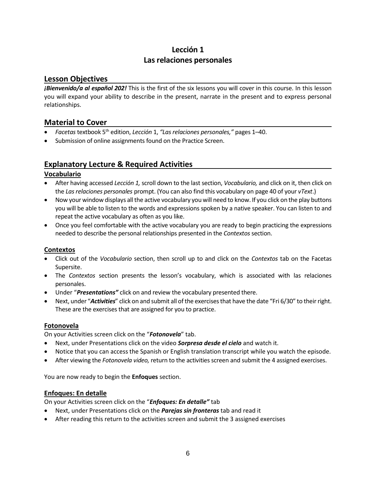# **Lección 1 Las relaciones personales**

# **Lesson Objectives**

*¡Bienvenido/a al español 202!* This is the first of the six lessons you will cover in this course. In this lesson you will expand your ability to describe in the present, narrate in the present and to express personal relationships.

# **Material to Cover**

- *Facetas* textbook 5 th edition, *Lección* 1, *"Las relaciones personales,"* pages 1–40.
- Submission of online assignments found on the Practice Screen.

# **Explanatory Lecture & Required Activities**

# **Vocabulario**

- After having accessed *Lección 1,* scroll down to the last section, *Vocabulario,* and click on it, then click on the *Las relaciones personales* prompt. (You can also find this vocabulary on page 40 of your *vText*.)
- Now your window displays all the active vocabulary you will need to know. If you click on the play buttons you will be able to listen to the words and expressions spoken by a native speaker. You can listen to and repeat the active vocabulary as often as you like.
- Once you feel comfortable with the active vocabulary you are ready to begin practicing the expressions needed to describe the personal relationships presented in the *Contextos* section.

# **Contextos**

- Click out of the *Vocabulario* section, then scroll up to and click on the *Contextos* tab on the Facetas Supersite.
- The *Contextos* section presents the lesson's vocabulary, which is associated with las relaciones personales.
- Under "*Presentations"* click on and review the vocabulary presented there.
- Next, under "*Activities*" click on and submit all of the exercises that have the date "Fri 6/30" to their right. These are the exercises that are assigned for you to practice.

# **Fotonovela**

On your Activities screen click on the "*Fotonovela*" tab.

- Next, under Presentations click on the video *Sorpresa desde el cielo* and watch it.
- Notice that you can access the Spanish or English translation transcript while you watch the episode.
- After viewing the *Fotonovela video,* return to the activities screen and submit the 4 assigned exercises.

You are now ready to begin the **Enfoques** section.

# **Enfoques: En detalle**

On your Activities screen click on the "*Enfoques: En detalle"* tab

- Next, under Presentations click on the *Parejas sin fronteras* tab and read it
- After reading this return to the activities screen and submit the 3 assigned exercises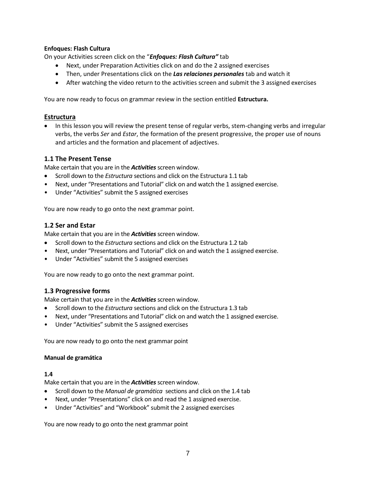#### **Enfoques: Flash Cultura**

On your Activities screen click on the "*Enfoques: Flash Cultura"* tab

- Next, under Preparation Activities click on and do the 2 assigned exercises
- Then, under Presentations click on the *Las relaciones personales* tab and watch it
- After watching the video return to the activities screen and submit the 3 assigned exercises

You are now ready to focus on grammar review in the section entitled **Estructura.**

#### **Estructura**

• In this lesson you will review the present tense of regular verbs, stem-changing verbs and irregular verbs, the verbs *Ser* and *Estar*, the formation of the present progressive, the proper use of nouns and articles and the formation and placement of adjectives.

## **1.1 The Present Tense**

Make certain that you are in the **Activities** screen window.

- Scroll down to the *Estructura* sections and click on the Estructura 1.1 tab
- Next, under "Presentations and Tutorial" click on and watch the 1 assigned exercise.
- Under "Activities" submit the 5 assigned exercises

You are now ready to go onto the next grammar point.

#### **1.2 Ser and Estar**

Make certain that you are in the **Activities** screen window.

- Scroll down to the *Estructura* sections and click on the Estructura 1.2 tab
- Next, under "Presentations and Tutorial" click on and watch the 1 assigned exercise.
- Under "Activities" submit the 5 assigned exercises

You are now ready to go onto the next grammar point.

## **1.3 Progressive forms**

Make certain that you are in the **Activities** screen window.

- Scroll down to the *Estructura* sections and click on the Estructura 1.3 tab
- Next, under "Presentations and Tutorial" click on and watch the 1 assigned exercise.
- Under "Activities" submit the 5 assigned exercises

You are now ready to go onto the next grammar point

#### **Manual de gramática**

#### **1.4**

Make certain that you are in the **Activities** screen window.

- Scroll down to the *Manual de gramática* sections and click on the 1.4 tab
- Next, under "Presentations" click on and read the 1 assigned exercise.
- Under "Activities" and "Workbook" submit the 2 assigned exercises

You are now ready to go onto the next grammar point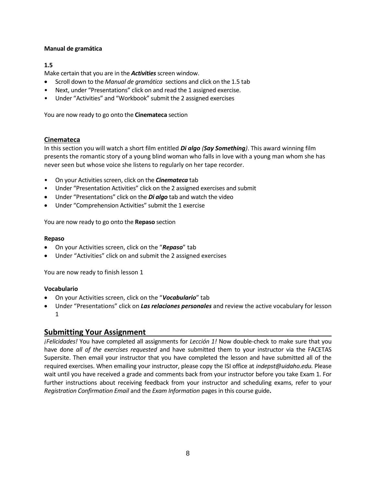#### **Manual de gramática**

#### **1.5**

Make certain that you are in the **Activities** screen window.

- Scroll down to the *Manual de gramática* sections and click on the 1.5 tab
- Next, under "Presentations" click on and read the 1 assigned exercise.
- Under "Activities" and "Workbook" submit the 2 assigned exercises

You are now ready to go onto the **Cinemateca** section

#### **Cinemateca**

In this section you will watch a short film entitled *Di algo (Say Something)*. This award winning film presents the romantic story of a young blind woman who falls in love with a young man whom she has never seen but whose voice she listens to regularly on her tape recorder.

- On your Activities screen, click on the *Cinemateca* tab
- Under "Presentation Activities" click on the 2 assigned exercises and submit
- Under "Presentations" click on the *Di algo* tab and watch the video
- Under "Comprehension Activities" submit the 1 exercise

You are now ready to go onto the **Repaso** section

#### **Repaso**

- On your Activities screen, click on the "*Repaso*" tab
- Under "Activities" click on and submit the 2 assigned exercises

You are now ready to finish lesson 1

#### **Vocabulario**

- On your Activities screen, click on the "*Vocabulario*" tab
- Under "Presentations" click on *Las relaciones personales* and review the active vocabulary for lesson 1

# **Submitting Your Assignment**

*¡Felicidades!* You have completed all assignments for *Lección 1!* Now double-check to make sure that you have done *all of the exercises requested* and have submitted them to your instructor via the FACETAS Supersite. Then email your instructor that you have completed the lesson and have submitted all of the required exercises. When emailing your instructor, please copy the ISI office at *indepst@uidaho.edu.* Please wait until you have received a grade and comments back from your instructor before you take Exam 1. For further instructions about receiving feedback from your instructor and scheduling exams, refer to your *Registration Confirmation Email* and the *Exam Information* pages in this course guide**.**